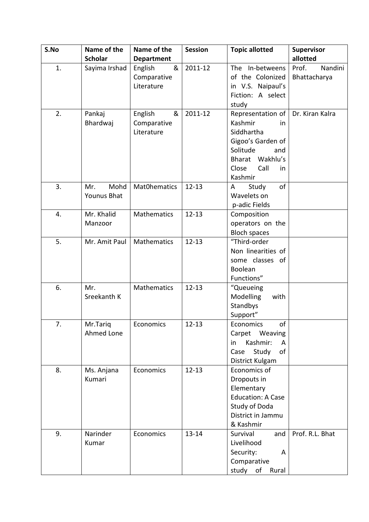| S.No | Name of the    | Name of the        | <b>Session</b> | <b>Topic allotted</b>      | <b>Supervisor</b> |
|------|----------------|--------------------|----------------|----------------------------|-------------------|
|      | <b>Scholar</b> | <b>Department</b>  |                |                            | allotted          |
| 1.   | Sayima Irshad  | &<br>English       | 2011-12        | In-betweens<br>The         | Prof.<br>Nandini  |
|      |                | Comparative        |                | of the Colonized           | Bhattacharya      |
|      |                | Literature         |                | in V.S. Naipaul's          |                   |
|      |                |                    |                | Fiction: A select          |                   |
|      |                |                    |                | study                      |                   |
| 2.   | Pankaj         | &<br>English       | 2011-12        | Representation of          | Dr. Kiran Kalra   |
|      | Bhardwaj       | Comparative        |                | Kashmir<br>in              |                   |
|      |                | Literature         |                | Siddhartha                 |                   |
|      |                |                    |                | Gigoo's Garden of          |                   |
|      |                |                    |                | Solitude<br>and            |                   |
|      |                |                    |                | Bharat Wakhlu's            |                   |
|      |                |                    |                | Close<br>Call<br>in        |                   |
|      |                |                    |                | Kashmir                    |                   |
| 3.   | Mr.<br>Mohd    | Mat0hematics       | $12 - 13$      | of<br>Study<br>A           |                   |
|      | Younus Bhat    |                    |                | Wavelets on                |                   |
|      |                |                    |                | p-adic Fields              |                   |
| 4.   | Mr. Khalid     | <b>Mathematics</b> | $12 - 13$      | Composition                |                   |
|      | Manzoor        |                    |                | operators on the           |                   |
|      |                |                    |                | <b>Bloch spaces</b>        |                   |
| 5.   | Mr. Amit Paul  | Mathematics        | $12 - 13$      | "Third-order               |                   |
|      |                |                    |                | Non linearities of         |                   |
|      |                |                    |                | some classes of            |                   |
|      |                |                    |                | Boolean                    |                   |
|      |                |                    |                | Functions"                 |                   |
| 6.   | Mr.            | Mathematics        | $12 - 13$      | "Queueing                  |                   |
|      | Sreekanth K    |                    |                | Modelling<br>with          |                   |
|      |                |                    |                | Standbys                   |                   |
|      |                |                    |                | Support"                   |                   |
| 7.   | Mr.Tariq       | Economics          | $12 - 13$      | $\mathsf{of}$<br>Economics |                   |
|      | Ahmed Lone     |                    |                | Carpet Weaving             |                   |
|      |                |                    |                | Kashmir:<br>in<br>A        |                   |
|      |                |                    |                | of<br>Study<br>Case        |                   |
|      |                |                    |                | District Kulgam            |                   |
| 8.   | Ms. Anjana     | Economics          | $12 - 13$      | Economics of               |                   |
|      | Kumari         |                    |                | Dropouts in                |                   |
|      |                |                    |                | Elementary                 |                   |
|      |                |                    |                | <b>Education: A Case</b>   |                   |
|      |                |                    |                | Study of Doda              |                   |
|      |                |                    |                | District in Jammu          |                   |
|      |                |                    |                | & Kashmir                  |                   |
| 9.   | Narinder       | Economics          | $13 - 14$      | Survival<br>and            | Prof. R.L. Bhat   |
|      | Kumar          |                    |                | Livelihood                 |                   |
|      |                |                    |                | Security:<br>A             |                   |
|      |                |                    |                | Comparative                |                   |
|      |                |                    |                | study of Rural             |                   |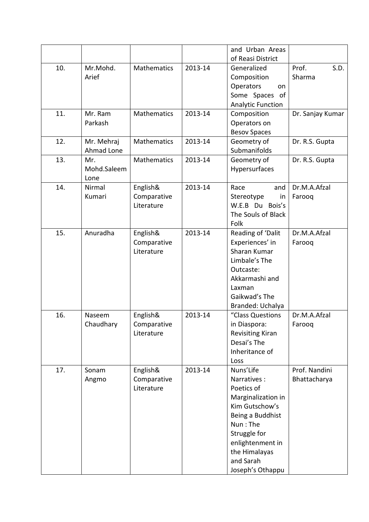|     |             |                    |         | and Urban Areas          |                  |
|-----|-------------|--------------------|---------|--------------------------|------------------|
|     |             |                    |         | of Reasi District        |                  |
| 10. | Mr.Mohd.    | <b>Mathematics</b> | 2013-14 | Generalized              | Prof.<br>S.D.    |
|     | Arief       |                    |         | Composition              | Sharma           |
|     |             |                    |         | Operators<br>on          |                  |
|     |             |                    |         | Some Spaces of           |                  |
|     |             |                    |         | <b>Analytic Function</b> |                  |
| 11. | Mr. Ram     | <b>Mathematics</b> | 2013-14 | Composition              | Dr. Sanjay Kumar |
|     | Parkash     |                    |         | Operators on             |                  |
|     |             |                    |         | <b>Besov Spaces</b>      |                  |
| 12. | Mr. Mehraj  | Mathematics        | 2013-14 | Geometry of              | Dr. R.S. Gupta   |
|     | Ahmad Lone  |                    |         | Submanifolds             |                  |
| 13. | Mr.         | <b>Mathematics</b> | 2013-14 | Geometry of              | Dr. R.S. Gupta   |
|     | Mohd.Saleem |                    |         | Hypersurfaces            |                  |
|     | Lone        |                    |         |                          |                  |
| 14. | Nirmal      | English&           | 2013-14 | Race<br>and              | Dr.M.A.Afzal     |
|     | Kumari      | Comparative        |         | Stereotype<br>in         | Farooq           |
|     |             | Literature         |         | W.E.B Du Bois's          |                  |
|     |             |                    |         | The Souls of Black       |                  |
|     |             |                    |         | Folk                     |                  |
| 15. | Anuradha    | English&           | 2013-14 | Reading of 'Dalit        | Dr.M.A.Afzal     |
|     |             | Comparative        |         | Experiences' in          | Farooq           |
|     |             | Literature         |         | Sharan Kumar             |                  |
|     |             |                    |         | Limbale's The            |                  |
|     |             |                    |         | Outcaste:                |                  |
|     |             |                    |         | Akkarmashi and           |                  |
|     |             |                    |         | Laxman                   |                  |
|     |             |                    |         | Gaikwad's The            |                  |
|     |             |                    |         | Branded: Uchalya         |                  |
| 16. | Naseem      | English&           | 2013-14 | "Class Questions         | Dr.M.A.Afzal     |
|     | Chaudhary   | Comparative        |         | in Diaspora:             | Farooq           |
|     |             | Literature         |         | <b>Revisiting Kiran</b>  |                  |
|     |             |                    |         | Desai's The              |                  |
|     |             |                    |         | Inheritance of           |                  |
|     |             |                    |         | Loss                     |                  |
| 17. | Sonam       | English&           | 2013-14 | Nuns'Life                | Prof. Nandini    |
|     | Angmo       | Comparative        |         | Narratives:              | Bhattacharya     |
|     |             | Literature         |         | Poetics of               |                  |
|     |             |                    |         | Marginalization in       |                  |
|     |             |                    |         | Kim Gutschow's           |                  |
|     |             |                    |         | Being a Buddhist         |                  |
|     |             |                    |         | Nun: The                 |                  |
|     |             |                    |         | Struggle for             |                  |
|     |             |                    |         | enlightenment in         |                  |
|     |             |                    |         | the Himalayas            |                  |
|     |             |                    |         | and Sarah                |                  |
|     |             |                    |         | Joseph's Othappu         |                  |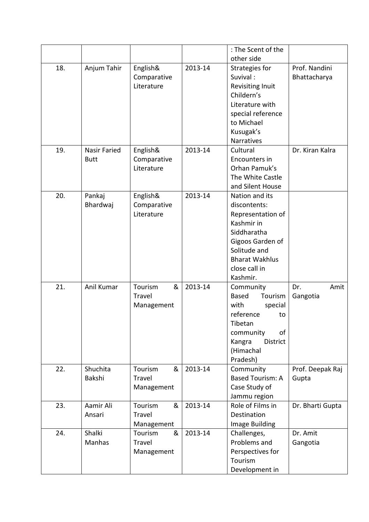|     |              |              |         | : The Scent of the      |                  |
|-----|--------------|--------------|---------|-------------------------|------------------|
|     |              |              |         | other side              |                  |
| 18. | Anjum Tahir  | English&     | 2013-14 | Strategies for          | Prof. Nandini    |
|     |              | Comparative  |         | Suvival:                | Bhattacharya     |
|     |              | Literature   |         | <b>Revisiting Inuit</b> |                  |
|     |              |              |         | Childern's              |                  |
|     |              |              |         | Literature with         |                  |
|     |              |              |         | special reference       |                  |
|     |              |              |         | to Michael              |                  |
|     |              |              |         | Kusugak's               |                  |
|     |              |              |         | Narratives              |                  |
| 19. | Nasir Faried | English&     | 2013-14 | Cultural                | Dr. Kiran Kalra  |
|     | <b>Butt</b>  | Comparative  |         | Encounters in           |                  |
|     |              | Literature   |         | Orhan Pamuk's           |                  |
|     |              |              |         | The White Castle        |                  |
|     |              |              |         | and Silent House        |                  |
| 20. | Pankaj       | English&     | 2013-14 | Nation and its          |                  |
|     | Bhardwaj     | Comparative  |         | discontents:            |                  |
|     |              | Literature   |         | Representation of       |                  |
|     |              |              |         | Kashmir in              |                  |
|     |              |              |         | Siddharatha             |                  |
|     |              |              |         | Gigoos Garden of        |                  |
|     |              |              |         | Solitude and            |                  |
|     |              |              |         | <b>Bharat Wakhlus</b>   |                  |
|     |              |              |         | close call in           |                  |
|     |              |              |         | Kashmir.                |                  |
| 21. | Anil Kumar   | &<br>Tourism | 2013-14 | Community               | Amit<br>Dr.      |
|     |              | Travel       |         | Based<br>Tourism        | Gangotia         |
|     |              | Management   |         | with<br>special         |                  |
|     |              |              |         | reference<br>to         |                  |
|     |              |              |         | Tibetan                 |                  |
|     |              |              |         | of<br>community         |                  |
|     |              |              |         | Kangra<br>District      |                  |
|     |              |              |         | (Himachal               |                  |
|     |              |              |         | Pradesh)                |                  |
| 22. | Shuchita     | Tourism<br>& | 2013-14 | Community               | Prof. Deepak Raj |
|     | Bakshi       | Travel       |         | <b>Based Tourism: A</b> | Gupta            |
|     |              | Management   |         | Case Study of           |                  |
|     |              |              |         | Jammu region            |                  |
| 23. | Aamir Ali    | Tourism<br>& | 2013-14 | Role of Films in        | Dr. Bharti Gupta |
|     | Ansari       | Travel       |         | Destination             |                  |
|     |              | Management   |         | Image Building          |                  |
| 24. | Shalki       | Tourism<br>& | 2013-14 | Challenges,             | Dr. Amit         |
|     | Manhas       | Travel       |         | Problems and            | Gangotia         |
|     |              | Management   |         | Perspectives for        |                  |
|     |              |              |         | Tourism                 |                  |
|     |              |              |         | Development in          |                  |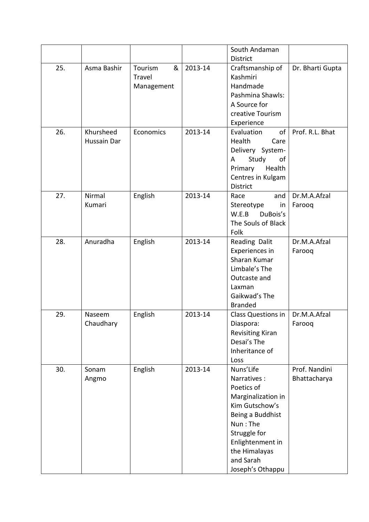|     |                          |                                      |         | South Andaman                                                                                                                                                                                        |                               |
|-----|--------------------------|--------------------------------------|---------|------------------------------------------------------------------------------------------------------------------------------------------------------------------------------------------------------|-------------------------------|
|     |                          |                                      |         | <b>District</b>                                                                                                                                                                                      |                               |
| 25. | Asma Bashir              | &<br>Tourism<br>Travel<br>Management | 2013-14 | Craftsmanship of<br>Kashmiri<br>Handmade<br>Pashmina Shawls:<br>A Source for<br>creative Tourism<br>Experience                                                                                       | Dr. Bharti Gupta              |
| 26. | Khursheed<br>Hussain Dar | Economics                            | 2013-14 | Evaluation<br>of<br>Health<br>Care<br>Delivery System-<br>Study<br>A<br>of<br>Health<br>Primary<br>Centres in Kulgam<br><b>District</b>                                                              | Prof. R.L. Bhat               |
| 27. | Nirmal<br>Kumari         | English                              | 2013-14 | Race<br>and<br>in<br>Stereotype<br>W.E.B<br>DuBois's<br>The Souls of Black<br>Folk                                                                                                                   | Dr.M.A.Afzal<br>Farooq        |
| 28. | Anuradha                 | English                              | 2013-14 | Reading Dalit<br>Experiences in<br>Sharan Kumar<br>Limbale's The<br>Outcaste and<br>Laxman<br>Gaikwad's The<br><b>Branded</b>                                                                        | Dr.M.A.Afzal<br>Farooq        |
| 29. | Naseem<br>Chaudhary      | English                              | 2013-14 | Class Questions in<br>Diaspora:<br><b>Revisiting Kiran</b><br>Desai's The<br>Inheritance of<br>Loss                                                                                                  | Dr.M.A.Afzal<br>Farooq        |
| 30. | Sonam<br>Angmo           | English                              | 2013-14 | Nuns'Life<br>Narratives:<br>Poetics of<br>Marginalization in<br>Kim Gutschow's<br>Being a Buddhist<br>Nun: The<br>Struggle for<br>Enlightenment in<br>the Himalayas<br>and Sarah<br>Joseph's Othappu | Prof. Nandini<br>Bhattacharya |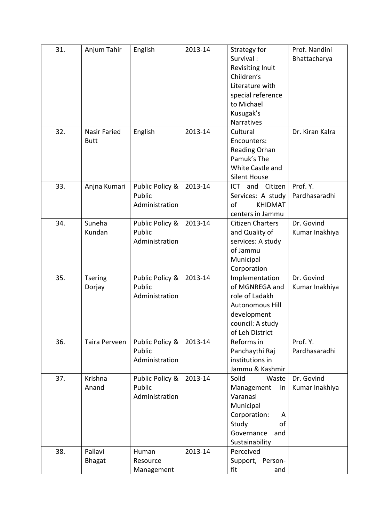| 31. | Anjum Tahir              | English                                     | 2013-14 | Strategy for<br>Survival:<br>Revisiting Inuit<br>Children's<br>Literature with<br>special reference<br>to Michael                      | Prof. Nandini<br>Bhattacharya |
|-----|--------------------------|---------------------------------------------|---------|----------------------------------------------------------------------------------------------------------------------------------------|-------------------------------|
| 32. | <b>Nasir Faried</b>      | English                                     | 2013-14 | Kusugak's<br>Narratives<br>Cultural                                                                                                    | Dr. Kiran Kalra               |
|     | <b>Butt</b>              |                                             |         | Encounters:<br>Reading Orhan<br>Pamuk's The<br>White Castle and<br><b>Silent House</b>                                                 |                               |
| 33. | Anjna Kumari             | Public Policy &<br>Public<br>Administration | 2013-14 | <b>ICT</b><br>and<br>Citizen<br>Services: A study<br>of<br><b>KHIDMAT</b><br>centers in Jammu                                          | Prof. Y.<br>Pardhasaradhi     |
| 34. | Suneha<br>Kundan         | Public Policy &<br>Public<br>Administration | 2013-14 | <b>Citizen Charters</b><br>and Quality of<br>services: A study<br>of Jammu<br>Municipal<br>Corporation                                 | Dr. Govind<br>Kumar Inakhiya  |
| 35. | <b>Tsering</b><br>Dorjay | Public Policy &<br>Public<br>Administration | 2013-14 | Implementation<br>of MGNREGA and<br>role of Ladakh<br><b>Autonomous Hill</b><br>development<br>council: A study<br>of Leh District     | Dr. Govind<br>Kumar Inakhiya  |
| 36. | Taira Perveen            | Public Policy &<br>Public<br>Administration | 2013-14 | Reforms in<br>Panchaythi Raj<br>institutions in<br>Jammu & Kashmir                                                                     | Prof. Y.<br>Pardhasaradhi     |
| 37. | Krishna<br>Anand         | Public Policy &<br>Public<br>Administration | 2013-14 | Solid<br>Waste<br>Management<br>in<br>Varanasi<br>Municipal<br>Corporation:<br>A<br>Study<br>οf<br>Governance<br>and<br>Sustainability | Dr. Govind<br>Kumar Inakhiya  |
| 38. | Pallavi<br><b>Bhagat</b> | Human<br>Resource<br>Management             | 2013-14 | Perceived<br>Support, Person-<br>fit<br>and                                                                                            |                               |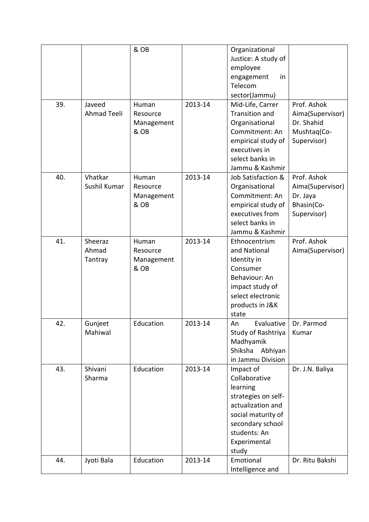|     |                    | & OB       |         | Organizational<br>Justice: A study of |                  |
|-----|--------------------|------------|---------|---------------------------------------|------------------|
|     |                    |            |         | employee<br>in                        |                  |
|     |                    |            |         | engagement<br>Telecom                 |                  |
|     |                    |            |         | sector(Jammu)                         |                  |
| 39. | Javeed             | Human      | 2013-14 | Mid-Life, Carrer                      | Prof. Ashok      |
|     | <b>Ahmad Teeli</b> | Resource   |         | <b>Transition and</b>                 | Aima(Supervisor) |
|     |                    | Management |         | Organisational                        | Dr. Shahid       |
|     |                    | & OB       |         | Commitment: An                        | Mushtaq(Co-      |
|     |                    |            |         | empirical study of                    | Supervisor)      |
|     |                    |            |         | executives in                         |                  |
|     |                    |            |         | select banks in                       |                  |
|     |                    |            |         | Jammu & Kashmir                       |                  |
| 40. | Vhatkar            | Human      | 2013-14 | Job Satisfaction &                    | Prof. Ashok      |
|     | Sushil Kumar       | Resource   |         | Organisational                        | Aima(Supervisor) |
|     |                    | Management |         | Commitment: An                        | Dr. Jaya         |
|     |                    | & OB       |         | empirical study of                    | Bhasin(Co-       |
|     |                    |            |         | executives from                       | Supervisor)      |
|     |                    |            |         | select banks in<br>Jammu & Kashmir    |                  |
| 41. | Sheeraz            | Human      | 2013-14 | Ethnocentrism                         | Prof. Ashok      |
|     | Ahmad              | Resource   |         | and National                          | Aima(Supervisor) |
|     | Tantray            | Management |         | Identity in                           |                  |
|     |                    | & OB       |         | Consumer                              |                  |
|     |                    |            |         | Behaviour: An                         |                  |
|     |                    |            |         | impact study of                       |                  |
|     |                    |            |         | select electronic                     |                  |
|     |                    |            |         | products in J&K                       |                  |
|     |                    |            |         | state                                 |                  |
| 42. | Gunjeet            | Education  | 2013-14 | Evaluative<br>An                      | Dr. Parmod       |
|     | Mahiwal            |            |         | Study of Rashtriya                    | Kumar            |
|     |                    |            |         | Madhyamik                             |                  |
|     |                    |            |         | Shiksha<br>Abhiyan                    |                  |
|     |                    |            |         | in Jammu Division                     |                  |
| 43. | Shivani<br>Sharma  | Education  | 2013-14 | Impact of<br>Collaborative            | Dr. J.N. Baliya  |
|     |                    |            |         | learning                              |                  |
|     |                    |            |         | strategies on self-                   |                  |
|     |                    |            |         | actualization and                     |                  |
|     |                    |            |         | social maturity of                    |                  |
|     |                    |            |         | secondary school                      |                  |
|     |                    |            |         | students: An                          |                  |
|     |                    |            |         | Experimental                          |                  |
|     |                    |            |         | study                                 |                  |
| 44. | Jyoti Bala         | Education  | 2013-14 | Emotional                             | Dr. Ritu Bakshi  |
|     |                    |            |         | Intelligence and                      |                  |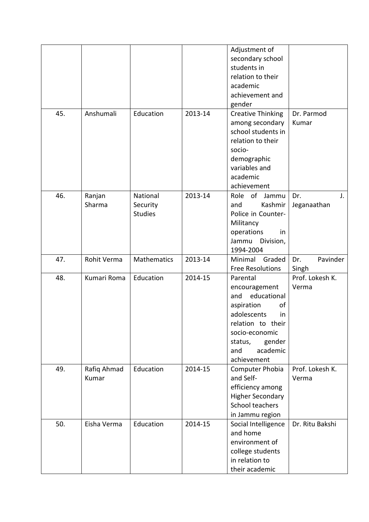|     |             |                |         | Adjustment of            |                 |
|-----|-------------|----------------|---------|--------------------------|-----------------|
|     |             |                |         | secondary school         |                 |
|     |             |                |         | students in              |                 |
|     |             |                |         | relation to their        |                 |
|     |             |                |         | academic                 |                 |
|     |             |                |         | achievement and          |                 |
|     |             |                |         | gender                   |                 |
| 45. | Anshumali   | Education      | 2013-14 | <b>Creative Thinking</b> | Dr. Parmod      |
|     |             |                |         | among secondary          | Kumar           |
|     |             |                |         | school students in       |                 |
|     |             |                |         | relation to their        |                 |
|     |             |                |         | socio-                   |                 |
|     |             |                |         | demographic              |                 |
|     |             |                |         | variables and            |                 |
|     |             |                |         |                          |                 |
|     |             |                |         | academic                 |                 |
|     |             |                |         | achievement              |                 |
| 46. | Ranjan      | National       | 2013-14 | Role of<br>Jammu         | Dr.<br>J.       |
|     | Sharma      | Security       |         | Kashmir<br>and           | Jeganaathan     |
|     |             | <b>Studies</b> |         | Police in Counter-       |                 |
|     |             |                |         | Militancy                |                 |
|     |             |                |         | operations<br>in         |                 |
|     |             |                |         | Jammu<br>Division,       |                 |
|     |             |                |         | 1994-2004                |                 |
| 47. | Rohit Verma | Mathematics    | 2013-14 | Minimal<br>Graded        | Pavinder<br>Dr. |
|     |             |                |         | <b>Free Resolutions</b>  | Singh           |
| 48. | Kumari Roma | Education      | 2014-15 | Parental                 | Prof. Lokesh K. |
|     |             |                |         | encouragement            | Verma           |
|     |             |                |         | educational<br>and       |                 |
|     |             |                |         | aspiration<br>of         |                 |
|     |             |                |         | adolescents<br>in.       |                 |
|     |             |                |         | relation to their        |                 |
|     |             |                |         | socio-economic           |                 |
|     |             |                |         | gender<br>status,        |                 |
|     |             |                |         | academic<br>and          |                 |
|     |             |                |         | achievement              |                 |
| 49. | Rafiq Ahmad | Education      | 2014-15 | Computer Phobia          | Prof. Lokesh K. |
|     | Kumar       |                |         | and Self-                | Verma           |
|     |             |                |         | efficiency among         |                 |
|     |             |                |         | <b>Higher Secondary</b>  |                 |
|     |             |                |         | School teachers          |                 |
|     |             |                |         | in Jammu region          |                 |
| 50. | Eisha Verma | Education      | 2014-15 | Social Intelligence      | Dr. Ritu Bakshi |
|     |             |                |         | and home                 |                 |
|     |             |                |         | environment of           |                 |
|     |             |                |         | college students         |                 |
|     |             |                |         | in relation to           |                 |
|     |             |                |         | their academic           |                 |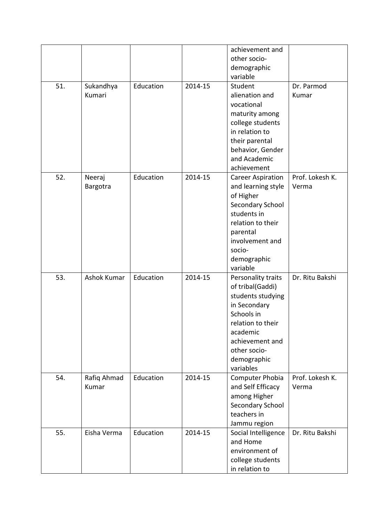|     |             |           |         | achievement and          |                 |
|-----|-------------|-----------|---------|--------------------------|-----------------|
|     |             |           |         | other socio-             |                 |
|     |             |           |         | demographic              |                 |
|     |             |           |         | variable                 |                 |
| 51. | Sukandhya   | Education | 2014-15 | Student                  | Dr. Parmod      |
|     | Kumari      |           |         | alienation and           | Kumar           |
|     |             |           |         | vocational               |                 |
|     |             |           |         | maturity among           |                 |
|     |             |           |         | college students         |                 |
|     |             |           |         | in relation to           |                 |
|     |             |           |         |                          |                 |
|     |             |           |         | their parental           |                 |
|     |             |           |         | behavior, Gender         |                 |
|     |             |           |         | and Academic             |                 |
|     |             |           |         | achievement              |                 |
| 52. | Neeraj      | Education | 2014-15 | <b>Career Aspiration</b> | Prof. Lokesh K. |
|     | Bargotra    |           |         | and learning style       | Verma           |
|     |             |           |         | of Higher                |                 |
|     |             |           |         | Secondary School         |                 |
|     |             |           |         | students in              |                 |
|     |             |           |         | relation to their        |                 |
|     |             |           |         | parental                 |                 |
|     |             |           |         | involvement and          |                 |
|     |             |           |         | socio-                   |                 |
|     |             |           |         | demographic              |                 |
|     |             |           |         | variable                 |                 |
| 53. | Ashok Kumar | Education | 2014-15 | Personality traits       | Dr. Ritu Bakshi |
|     |             |           |         | of tribal(Gaddi)         |                 |
|     |             |           |         | students studying        |                 |
|     |             |           |         | in Secondary             |                 |
|     |             |           |         | Schools in               |                 |
|     |             |           |         | relation to their        |                 |
|     |             |           |         | academic                 |                 |
|     |             |           |         | achievement and          |                 |
|     |             |           |         | other socio-             |                 |
|     |             |           |         | demographic              |                 |
|     |             |           |         | variables                |                 |
| 54. | Rafiq Ahmad | Education | 2014-15 | <b>Computer Phobia</b>   | Prof. Lokesh K. |
|     | Kumar       |           |         | and Self Efficacy        | Verma           |
|     |             |           |         | among Higher             |                 |
|     |             |           |         | Secondary School         |                 |
|     |             |           |         | teachers in              |                 |
|     |             |           |         | Jammu region             |                 |
| 55. | Eisha Verma | Education | 2014-15 | Social Intelligence      | Dr. Ritu Bakshi |
|     |             |           |         | and Home                 |                 |
|     |             |           |         | environment of           |                 |
|     |             |           |         | college students         |                 |
|     |             |           |         | in relation to           |                 |
|     |             |           |         |                          |                 |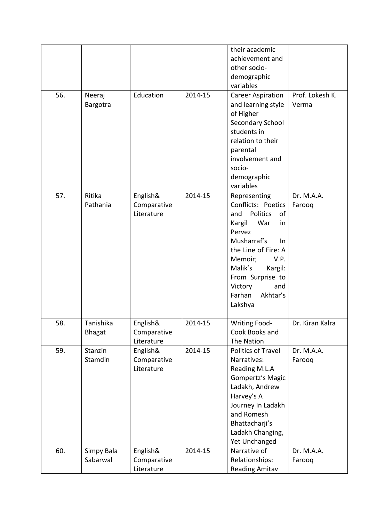|     |               |             |         | their academic                     |                 |
|-----|---------------|-------------|---------|------------------------------------|-----------------|
|     |               |             |         | achievement and                    |                 |
|     |               |             |         | other socio-                       |                 |
|     |               |             |         | demographic                        |                 |
|     |               |             |         | variables                          |                 |
| 56. | Neeraj        | Education   | 2014-15 | <b>Career Aspiration</b>           | Prof. Lokesh K. |
|     | Bargotra      |             |         | and learning style                 | Verma           |
|     |               |             |         | of Higher                          |                 |
|     |               |             |         | Secondary School                   |                 |
|     |               |             |         | students in                        |                 |
|     |               |             |         | relation to their                  |                 |
|     |               |             |         | parental                           |                 |
|     |               |             |         | involvement and                    |                 |
|     |               |             |         | socio-                             |                 |
|     |               |             |         | demographic                        |                 |
|     |               |             |         | variables                          |                 |
| 57. | Ritika        | English&    | 2014-15 | Representing                       | Dr. M.A.A.      |
|     | Pathania      | Comparative |         | Conflicts: Poetics                 | Farooq          |
|     |               | Literature  |         | Politics<br>and<br>of              |                 |
|     |               |             |         | War<br>Kargil<br>in                |                 |
|     |               |             |         | Pervez                             |                 |
|     |               |             |         | Musharraf's<br>$\ln$               |                 |
|     |               |             |         | the Line of Fire: A                |                 |
|     |               |             |         | Memoir;<br>V.P.                    |                 |
|     |               |             |         | Malik's<br>Kargil:                 |                 |
|     |               |             |         | From Surprise to<br>Victory<br>and |                 |
|     |               |             |         | Farhan<br>Akhtar's                 |                 |
|     |               |             |         | Lakshya                            |                 |
|     |               |             |         |                                    |                 |
| 58. | Tanishika     | English&    | 2014-15 | <b>Writing Food-</b>               | Dr. Kiran Kalra |
|     | <b>Bhagat</b> | Comparative |         | Cook Books and                     |                 |
|     |               | Literature  |         | The Nation                         |                 |
| 59. | Stanzin       | English&    | 2014-15 | <b>Politics of Travel</b>          | Dr. M.A.A.      |
|     | Stamdin       | Comparative |         | Narratives:                        | Farooq          |
|     |               | Literature  |         | Reading M.L.A                      |                 |
|     |               |             |         | Gompertz's Magic                   |                 |
|     |               |             |         | Ladakh, Andrew                     |                 |
|     |               |             |         | Harvey's A                         |                 |
|     |               |             |         | Journey In Ladakh                  |                 |
|     |               |             |         | and Romesh                         |                 |
|     |               |             |         | Bhattacharji's                     |                 |
|     |               |             |         | Ladakh Changing,                   |                 |
|     |               |             |         | Yet Unchanged                      |                 |
| 60. | Simpy Bala    | English&    | 2014-15 | Narrative of                       | Dr. M.A.A.      |
|     | Sabarwal      | Comparative |         | Relationships:                     | Farooq          |
|     |               | Literature  |         | <b>Reading Amitav</b>              |                 |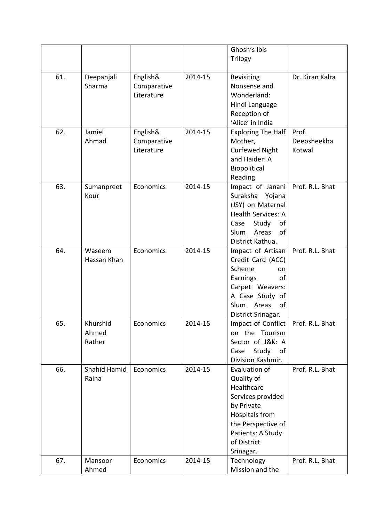|     |                              |                                       |         | Ghosh's Ibis<br>Trilogy                                                                                                                                                      |                                |
|-----|------------------------------|---------------------------------------|---------|------------------------------------------------------------------------------------------------------------------------------------------------------------------------------|--------------------------------|
| 61. | Deepanjali<br>Sharma         | English&<br>Comparative<br>Literature | 2014-15 | Revisiting<br>Nonsense and<br>Wonderland:<br>Hindi Language<br>Reception of<br>'Alice' in India                                                                              | Dr. Kiran Kalra                |
| 62. | Jamiel<br>Ahmad              | English&<br>Comparative<br>Literature | 2014-15 | <b>Exploring The Half</b><br>Mother,<br><b>Curfewed Night</b><br>and Haider: A<br>Biopolitical<br>Reading                                                                    | Prof.<br>Deepsheekha<br>Kotwal |
| 63. | Sumanpreet<br>Kour           | Economics                             | 2014-15 | Impact of Janani<br>Suraksha Yojana<br>(JSY) on Maternal<br><b>Health Services: A</b><br>Case<br>Study<br>οf<br><b>Slum</b><br>Areas<br>of<br>District Kathua.               | Prof. R.L. Bhat                |
| 64. | Waseem<br>Hassan Khan        | Economics                             | 2014-15 | Impact of Artisan<br>Credit Card (ACC)<br>Scheme<br>on<br>Earnings<br>οf<br>Carpet Weavers:<br>A Case Study of<br>Slum<br>Areas<br>of<br>District Srinagar.                  | Prof. R.L. Bhat                |
| 65. | Khurshid<br>Ahmed<br>Rather  | Economics                             | 2014-15 | Impact of Conflict   Prof. R.L. Bhat<br>on the Tourism<br>Sector of J&K: A<br>Case<br>Study<br>of<br>Division Kashmir.                                                       |                                |
| 66. | <b>Shahid Hamid</b><br>Raina | Economics                             | 2014-15 | Evaluation of<br>Quality of<br>Healthcare<br>Services provided<br>by Private<br><b>Hospitals from</b><br>the Perspective of<br>Patients: A Study<br>of District<br>Srinagar. | Prof. R.L. Bhat                |
| 67. | Mansoor<br>Ahmed             | Economics                             | 2014-15 | Technology<br>Mission and the                                                                                                                                                | Prof. R.L. Bhat                |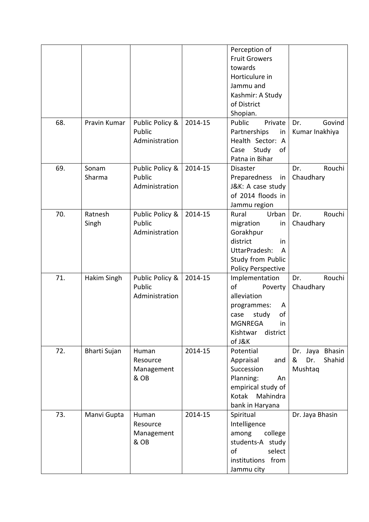|     |                  |                                             |         | Perception of<br><b>Fruit Growers</b><br>towards<br>Horticulure in<br>Jammu and<br>Kashmir: A Study<br>of District<br>Shopian.                      |                                                            |
|-----|------------------|---------------------------------------------|---------|-----------------------------------------------------------------------------------------------------------------------------------------------------|------------------------------------------------------------|
| 68. | Pravin Kumar     | Public Policy &<br>Public<br>Administration | 2014-15 | Public<br>Private<br>Partnerships<br>in<br>Health Sector: A<br>Study<br>Case<br>of<br>Patna in Bihar                                                | Govind<br>Dr.<br>Kumar Inakhiya                            |
| 69. | Sonam<br>Sharma  | Public Policy &<br>Public<br>Administration | 2014-15 | <b>Disaster</b><br>Preparedness in<br>J&K: A case study<br>of 2014 floods in<br>Jammu region                                                        | Rouchi<br>Dr.<br>Chaudhary                                 |
| 70. | Ratnesh<br>Singh | Public Policy &<br>Public<br>Administration | 2014-15 | Rural<br>Urban<br>migration<br>in<br>Gorakhpur<br>district<br>in<br>UttarPradesh:<br>A<br>Study from Public<br><b>Policy Perspective</b>            | Rouchi<br>Dr.<br>Chaudhary                                 |
| 71. | Hakim Singh      | Public Policy &<br>Public<br>Administration | 2014-15 | Implementation<br>of<br>Poverty<br>alleviation<br>programmes:<br>A<br>study<br>of<br>case<br><b>MGNREGA</b><br>in<br>Kishtwar<br>district<br>of J&K | Dr.<br>Rouchi<br>Chaudhary                                 |
| 72. | Bharti Sujan     | Human<br>Resource<br>Management<br>& OB     | 2014-15 | Potential<br>Appraisal<br>and<br>Succession<br>Planning:<br>An<br>empirical study of<br>Kotak Mahindra<br>bank in Haryana                           | <b>Bhasin</b><br>Dr. Jaya<br>&<br>Dr.<br>Shahid<br>Mushtaq |
| 73. | Manvi Gupta      | Human<br>Resource<br>Management<br>& OB     | 2014-15 | Spiritual<br>Intelligence<br>among<br>college<br>students-A study<br>of<br>select<br>institutions from<br>Jammu city                                | Dr. Jaya Bhasin                                            |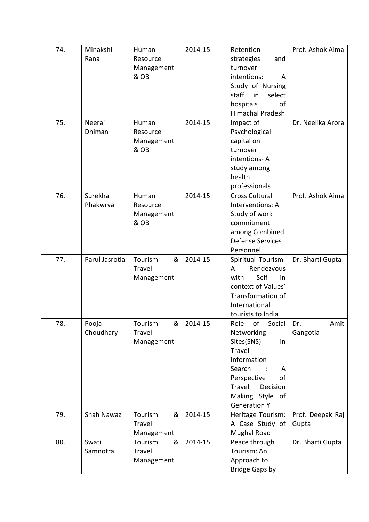| 74. | Minakshi       | Human           | 2014-15 | Retention                              | Prof. Ashok Aima  |
|-----|----------------|-----------------|---------|----------------------------------------|-------------------|
|     | Rana           | Resource        |         | strategies<br>and                      |                   |
|     |                | Management      |         | turnover                               |                   |
|     |                | & OB            |         | intentions:<br>A                       |                   |
|     |                |                 |         | Study of Nursing                       |                   |
|     |                |                 |         | staff<br>in<br>select                  |                   |
|     |                |                 |         | hospitals<br>οf                        |                   |
|     |                |                 |         | <b>Himachal Pradesh</b>                |                   |
| 75. | Neeraj         | Human           | 2014-15 | Impact of                              | Dr. Neelika Arora |
|     | Dhiman         | Resource        |         | Psychological                          |                   |
|     |                | Management      |         | capital on                             |                   |
|     |                | & OB            |         | turnover                               |                   |
|     |                |                 |         | intentions-A                           |                   |
|     |                |                 |         | study among                            |                   |
|     |                |                 |         | health                                 |                   |
|     |                |                 |         | professionals                          |                   |
| 76. | Surekha        | Human           | 2014-15 | <b>Cross Cultural</b>                  | Prof. Ashok Aima  |
|     | Phakwrya       | Resource        |         | Interventions: A                       |                   |
|     |                | Management      |         | Study of work                          |                   |
|     |                | & OB            |         | commitment                             |                   |
|     |                |                 |         | among Combined                         |                   |
|     |                |                 |         | <b>Defense Services</b>                |                   |
|     |                |                 |         | Personnel                              |                   |
| 77. | Parul Jasrotia | &<br>Tourism    | 2014-15 | Spiritual Tourism-                     | Dr. Bharti Gupta  |
|     |                | Travel          |         | Rendezvous<br>A                        |                   |
|     |                | Management      |         | Self<br>with<br>in                     |                   |
|     |                |                 |         | context of Values'                     |                   |
|     |                |                 |         | Transformation of                      |                   |
|     |                |                 |         | International                          |                   |
| 78. | Pooja          | $\&$<br>Tourism | 2014-15 | tourists to India<br>Role of<br>Social | Dr.<br>Amit       |
|     | Choudhary      | Travel          |         | Networking                             | Gangotia          |
|     |                | Management      |         | Sites(SNS)<br>in                       |                   |
|     |                |                 |         | Travel                                 |                   |
|     |                |                 |         | Information                            |                   |
|     |                |                 |         | Search<br>A                            |                   |
|     |                |                 |         | Perspective<br>of                      |                   |
|     |                |                 |         | Travel<br>Decision                     |                   |
|     |                |                 |         | Making Style of                        |                   |
|     |                |                 |         | <b>Generation Y</b>                    |                   |
| 79. | Shah Nawaz     | &<br>Tourism    | 2014-15 | Heritage Tourism:                      | Prof. Deepak Raj  |
|     |                | Travel          |         | A Case Study of                        | Gupta             |
|     |                | Management      |         | <b>Mughal Road</b>                     |                   |
| 80. | Swati          | Tourism<br>&    | 2014-15 | Peace through                          | Dr. Bharti Gupta  |
|     | Samnotra       | Travel          |         | Tourism: An                            |                   |
|     |                | Management      |         | Approach to                            |                   |
|     |                |                 |         | <b>Bridge Gaps by</b>                  |                   |